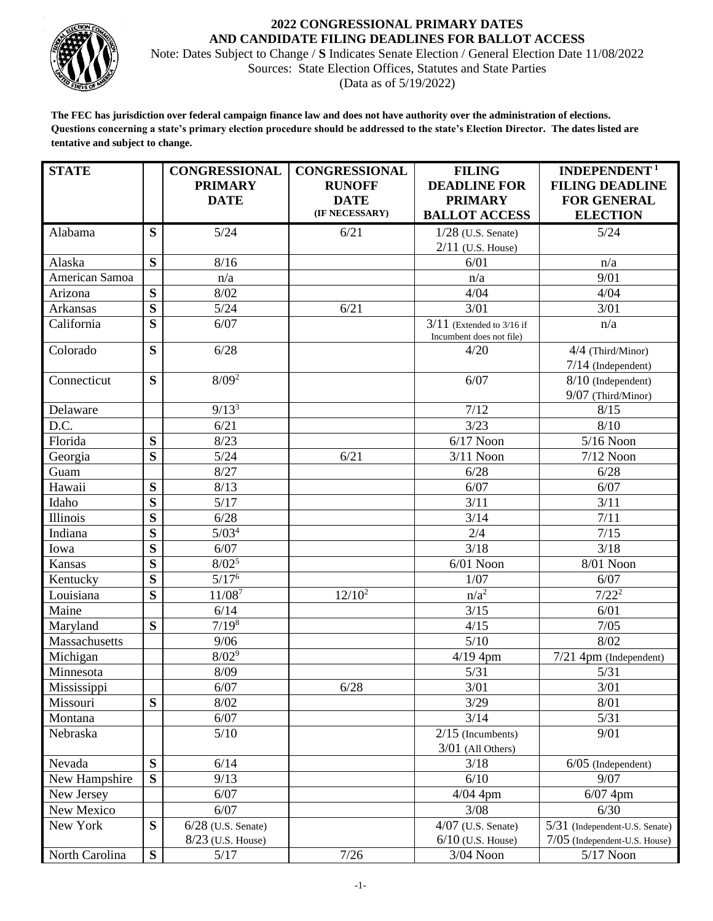

## **2022 CONGRESSIONAL PRIMARY DATES AND CANDIDATE FILING DEADLINES FOR BALLOT ACCESS**

Note: Dates Subject to Change / **S** Indicates Senate Election / General Election Date 11/08/2022 Sources: State Election Offices, Statutes and State Parties (Data as of 5/19/2022)

**The FEC has jurisdiction over federal campaign finance law and does not have authority over the administration of elections. Questions concerning a state's primary election procedure should be addressed to the state's Election Director. The dates listed are tentative and subject to change.**

| <b>STATE</b>    |                         | <b>CONGRESSIONAL</b> | <b>CONGRESSIONAL</b> | <b>FILING</b>                                           | INDEPENDENT <sup>1</sup>       |
|-----------------|-------------------------|----------------------|----------------------|---------------------------------------------------------|--------------------------------|
|                 |                         | <b>PRIMARY</b>       | <b>RUNOFF</b>        | <b>DEADLINE FOR</b>                                     | <b>FILING DEADLINE</b>         |
|                 |                         | <b>DATE</b>          | <b>DATE</b>          | <b>PRIMARY</b>                                          | <b>FOR GENERAL</b>             |
|                 |                         |                      | (IF NECESSARY)       | <b>BALLOT ACCESS</b>                                    | <b>ELECTION</b>                |
| Alabama         | S                       | 5/24                 | 6/21                 | $1/28$ (U.S. Senate)                                    | 5/24                           |
|                 |                         |                      |                      | $2/11$ (U.S. House)                                     |                                |
| Alaska          | S                       | 8/16                 |                      | 6/01                                                    | n/a                            |
| American Samoa  |                         | n/a                  |                      | n/a                                                     | 9/01                           |
| Arizona         | S                       | 8/02                 |                      | 4/04                                                    | 4/04                           |
| <b>Arkansas</b> | $\overline{\mathbf{s}}$ | 5/24                 | 6/21                 | 3/01                                                    | 3/01                           |
| California      | S                       | 6/07                 |                      | $3/11$ (Extended to 3/16 if<br>Incumbent does not file) | n/a                            |
| Colorado        | S                       | 6/28                 |                      | 4/20                                                    | 4/4 (Third/Minor)              |
|                 |                         |                      |                      |                                                         | $7/14$ (Independent)           |
| Connecticut     | $\overline{\mathbf{S}}$ | $8/09^2$             |                      | 6/07                                                    | $8/10$ (Independent)           |
|                 |                         |                      |                      |                                                         | 9/07 (Third/Minor)             |
| Delaware        |                         | 9/13 <sup>3</sup>    |                      | 7/12                                                    | 8/15                           |
| D.C.            |                         | 6/21                 |                      | 3/23                                                    | 8/10                           |
| Florida         | S                       | 8/23                 |                      | $6/17$ Noon                                             | $5/16$ Noon                    |
| Georgia         | $\overline{\mathbf{S}}$ | 5/24                 | 6/21                 | $3/11$ Noon                                             | $7/12$ Noon                    |
| Guam            |                         | 8/27                 |                      | 6/28                                                    | 6/28                           |
| Hawaii          | S                       | 8/13                 |                      | 6/07                                                    | 6/07                           |
| Idaho           | $\overline{\mathbf{S}}$ | 5/17                 |                      | 3/11                                                    | 3/11                           |
| Illinois        | S                       | 6/28                 |                      | 3/14                                                    | 7/11                           |
| Indiana         | S                       | 5/03 <sup>4</sup>    |                      | 2/4                                                     | 7/15                           |
| Iowa            | S                       | 6/07                 |                      | 3/18                                                    | 3/18                           |
| Kansas          | $\overline{\mathbf{S}}$ | $8/\overline{02^5}$  |                      | $6/01$ Noon                                             | 8/01 Noon                      |
| Kentucky        | S                       | $5/17^6$             |                      | 1/07                                                    | 6/07                           |
| Louisiana       | S                       | 11/087               | $12/10^2$            | $n/a^2$                                                 | $7/22^2$                       |
| Maine           |                         | 6/14                 |                      | 3/15                                                    | 6/01                           |
| Maryland        | S                       | $7/19^{8}$           |                      | 4/15                                                    | 7/05                           |
| Massachusetts   |                         | 9/06                 |                      | $5/10$                                                  | 8/02                           |
| Michigan        |                         | $8/02^{9}$           |                      | $4/19$ 4pm                                              | 7/21 4pm (Independent)         |
| Minnesota       |                         | 8/09                 |                      | 5/31                                                    | 5/31                           |
| Mississippi     |                         | 6/07                 | 6/28                 | 3/01                                                    | 3/01                           |
| Missouri        | S                       | 8/02                 |                      | 3/29                                                    | 8/01                           |
| Montana         |                         | 6/07                 |                      | 3/14                                                    | 5/31                           |
| Nebraska        |                         | 5/10                 |                      | $2/15$ (Incumbents)                                     | 9/01                           |
|                 |                         |                      |                      | $3/01$ (All Others)                                     |                                |
| Nevada          | S                       | 6/14                 |                      | 3/18                                                    | $6/05$ (Independent)           |
| New Hampshire   | $\overline{\mathbf{S}}$ | 9/13                 |                      | 6/10                                                    | 9/07                           |
| New Jersey      |                         | 6/07                 |                      | $4/04$ 4pm                                              | $6/07$ 4pm                     |
| New Mexico      |                         | 6/07                 |                      | 3/08                                                    | 6/30                           |
| New York        | S                       | $6/28$ (U.S. Senate) |                      | $4/07$ (U.S. Senate)                                    | 5/31 (Independent-U.S. Senate) |
|                 |                         | $8/23$ (U.S. House)  |                      | $6/10$ (U.S. House)                                     | 7/05 (Independent-U.S. House)  |
| North Carolina  | S                       | 5/17                 | 7/26                 | 3/04 Noon                                               | $5/17$ Noon                    |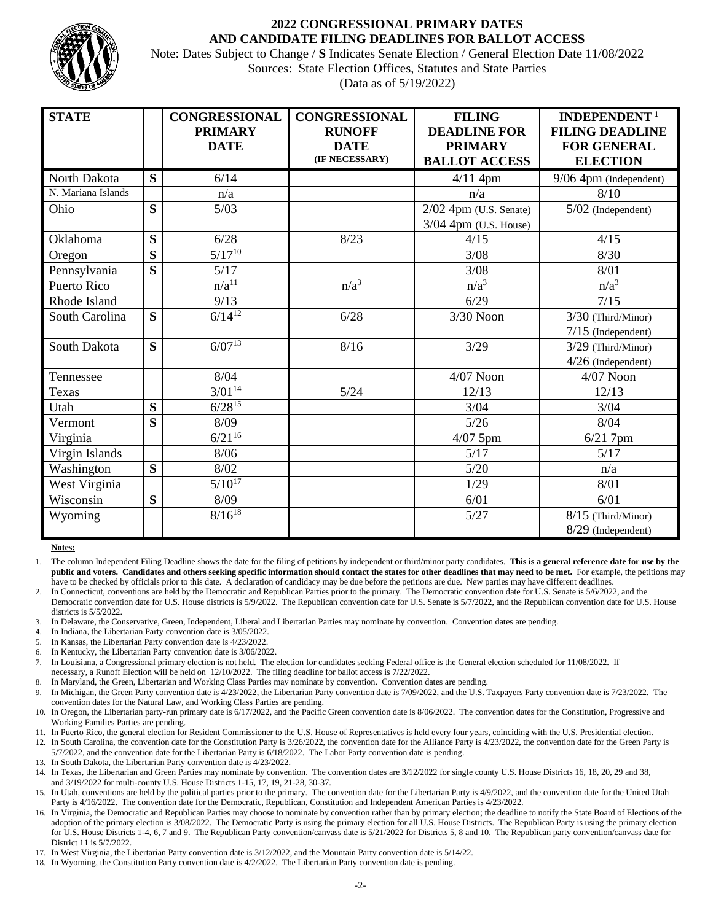

## **2022 CONGRESSIONAL PRIMARY DATES AND CANDIDATE FILING DEADLINES FOR BALLOT ACCESS**

Note: Dates Subject to Change / **S** Indicates Senate Election / General Election Date 11/08/2022 Sources: State Election Offices, Statutes and State Parties (Data as of 5/19/2022)

| <b>STATE</b>       |                         | <b>CONGRESSIONAL</b><br><b>PRIMARY</b><br><b>DATE</b> | <b>CONGRESSIONAL</b><br><b>RUNOFF</b><br><b>DATE</b><br>(IF NECESSARY) | <b>FILING</b><br><b>DEADLINE FOR</b><br><b>PRIMARY</b><br><b>BALLOT ACCESS</b> | INDEPENDENT <sup>1</sup><br><b>FILING DEADLINE</b><br><b>FOR GENERAL</b><br><b>ELECTION</b> |
|--------------------|-------------------------|-------------------------------------------------------|------------------------------------------------------------------------|--------------------------------------------------------------------------------|---------------------------------------------------------------------------------------------|
| North Dakota       | S                       | 6/14                                                  |                                                                        | $4/11$ 4pm                                                                     | $9/06$ 4pm (Independent)                                                                    |
| N. Mariana Islands |                         | n/a                                                   |                                                                        | n/a                                                                            | 8/10                                                                                        |
| Ohio               | S                       | 5/03                                                  |                                                                        | $2/02$ 4pm (U.S. Senate)<br>3/04 4pm (U.S. House)                              | $5/02$ (Independent)                                                                        |
| Oklahoma           | S                       | 6/28                                                  | 8/23                                                                   | 4/15                                                                           | 4/15                                                                                        |
| Oregon             | $\overline{\mathbf{s}}$ | $\sqrt{5/17^{10}}$                                    |                                                                        | 3/08                                                                           | 8/30                                                                                        |
| Pennsylvania       | $\overline{\mathbf{S}}$ | 5/17                                                  |                                                                        | 3/08                                                                           | 8/01                                                                                        |
| Puerto Rico        |                         | $n/a^{11}$                                            | $n/a^3$                                                                | $n/a^3$                                                                        | $n/a^3$                                                                                     |
| Rhode Island       |                         | 9/13                                                  |                                                                        | 6/29                                                                           | 7/15                                                                                        |
| South Carolina     | S                       | $6/14^{12}$                                           | 6/28                                                                   | 3/30 Noon                                                                      | 3/30 (Third/Minor)<br>$7/15$ (Independent)                                                  |
| South Dakota       | S                       | $6/07^{13}$                                           | 8/16                                                                   | 3/29                                                                           | $3/29$ (Third/Minor)<br>$4/26$ (Independent)                                                |
| Tennessee          |                         | 8/04                                                  |                                                                        | $4/07$ Noon                                                                    | $4/07$ Noon                                                                                 |
| Texas              |                         | $3/01^{14}$                                           | 5/24                                                                   | 12/13                                                                          | 12/13                                                                                       |
| Utah               | S                       | $6/28^{15}$                                           |                                                                        | 3/04                                                                           | 3/04                                                                                        |
| Vermont            | S                       | 8/09                                                  |                                                                        | 5/26                                                                           | 8/04                                                                                        |
| Virginia           |                         | $6\sqrt{21^{16}}$                                     |                                                                        | $4/07$ 5pm                                                                     | $6/21$ 7pm                                                                                  |
| Virgin Islands     |                         | 8/06                                                  |                                                                        | 5/17                                                                           | 5/17                                                                                        |
| Washington         | S                       | 8/02                                                  |                                                                        | 5/20                                                                           | n/a                                                                                         |
| West Virginia      |                         | $5/10^{17}$                                           |                                                                        | 1/29                                                                           | 8/01                                                                                        |
| Wisconsin          | S                       | 8/09                                                  |                                                                        | 6/01                                                                           | 6/01                                                                                        |
| Wyoming            |                         | $8/16^{18}$                                           |                                                                        | 5/27                                                                           | $8/15$ (Third/Minor)                                                                        |
|                    |                         |                                                       |                                                                        |                                                                                | 8/29 (Independent)                                                                          |

**Notes:**

1. The column Independent Filing Deadline shows the date for the filing of petitions by independent or third/minor party candidates. **This is a general reference date for use by the public and voters. Candidates and others seeking specific information should contact the states for other deadlines that may need to be met.** For example, the petitions may have to be checked by officials prior to this date. A declaration of candidacy may be due before the petitions are due. New parties may have different deadlines.

2. In Connecticut, conventions are held by the Democratic and Republican Parties prior to the primary. The Democratic convention date for U.S. Senate is 5/6/2022, and the Democratic convention date for U.S. House districts is 5/9/2022. The Republican convention date for U.S. Senate is 5/7/2022, and the Republican convention date for U.S. House districts is 5/5/2022.

- 3. In Delaware, the Conservative, Green, Independent, Liberal and Libertarian Parties may nominate by convention. Convention dates are pending.
- In Indiana, the Libertarian Party convention date is 3/05/2022.
- 5. In Kansas, the Libertarian Party convention date is 4/23/2022.
- 6. In Kentucky, the Libertarian Party convention date is 3/06/2022.
- 7. In Louisiana, a Congressional primary election is not held. The election for candidates seeking Federal office is the General election scheduled for 11/08/2022. If necessary, a Runoff Election will be held on 12/10/2022. The filing deadline for ballot access is 7/22/2022.
- 8. In Maryland, the Green, Libertarian and Working Class Parties may nominate by convention. Convention dates are pending.
- 9. In Michigan, the Green Party convention date is 4/23/2022, the Libertarian Party convention date is 7/09/2022, and the U.S. Taxpayers Party convention date is 7/23/2022. The convention dates for the Natural Law, and Working Class Parties are pending.
- 10. In Oregon, the Libertarian party-run primary date is 6/17/2022, and the Pacific Green convention date is 8/06/2022. The convention dates for the Constitution, Progressive and Working Families Parties are pending.
- 11. In Puerto Rico, the general election for Resident Commissioner to the U.S. House of Representatives is held every four years, coinciding with the U.S. Presidential election.
- In South Carolina, the convention date for the Constitution Party is 3/26/2022, the convention date for the Alliance Party is 4/23/2022, the convention date for the Green Party is 5/7/2022, and the convention date for the Libertarian Party is 6/18/2022. The Labor Party convention date is pending.

13. In South Dakota, the Libertarian Party convention date is 4/23/2022.

- In Texas, the Libertarian and Green Parties may nominate by convention. The convention dates are  $3/12/2022$  for single county U.S. House Districts 16, 18, 20, 29 and 38, and 3/19/2022 for multi-county U.S. House Districts 1-15, 17, 19, 21-28, 30-37.
- In Utah, conventions are held by the political parties prior to the primary. The convention date for the Libertarian Party is 4/9/2022, and the convention date for the United Utah Party is 4/16/2022. The convention date for the Democratic, Republican, Constitution and Independent American Parties is 4/23/2022.
- 16. In Virginia, the Democratic and Republican Parties may choose to nominate by convention rather than by primary election; the deadline to notify the State Board of Elections of the adoption of the primary election is  $3/08/2022$ . The Democratic Party is using the primary election for all U.S. House Districts. The Republican Party is using the primary election for U.S. House Districts 1-4, 6, 7 and 9. The Republican Party convention/canvass date is 5/21/2022 for Districts 5, 8 and 10. The Republican party convention/canvass date for District 11 is 5/7/2022.
- 17. In West Virginia, the Libertarian Party convention date is 3/12/2022, and the Mountain Party convention date is 5/14/22.
- 18. In Wyoming, the Constitution Party convention date is 4/2/2022. The Libertarian Party convention date is pending.